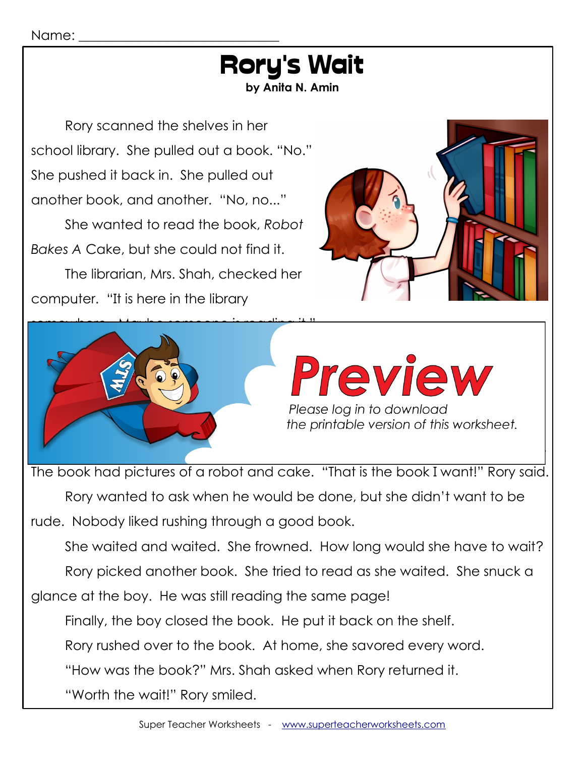#### Rory's Wait **by Anita N. Amin** Rory scanned the shelves in her school library. She pulled out a book. "No." She pushed it back in. She pulled out another book, and another. "No, no..." She wanted to read the book, *Robot Bakes A* Cake, but she could not find it. The librarian, Mrs. Shah, checked her computer. "It is here in the library somewhere. Maybe someone is reading it." "I wonder who has it is not who has it is not work to be a strong who has it is not work to be a strong who has it is not work to be a strong who has it is not work to be a strong who has it is not work to be a strong who Her best friend was holding a book. It was holding a book about robots. It was not result in the second was no Another girl was reading a book about cake. That wasn't Rory's book either. the printable version of this worksheet.

The book had pictures of a robot and cake. "That is the book I want!" Rory said.

Rory wanted to ask when he would be done, but she didn't want to be rude. Nobody liked rushing through a good book.

She waited and waited. She frowned. How long would she have to wait?

Then Rory saw it. A boy was sitting at a table, turning the pages of a book. The pages of a book.

Rory picked another book. She tried to read as she waited. She snuck a

glance at the boy. He was still reading the same page!

Finally, the boy closed the book. He put it back on the shelf.

Rory rushed over to the book. At home, she savored every word.

"How was the book?" Mrs. Shah asked when Rory returned it.

"Worth the wait!" Rory smiled.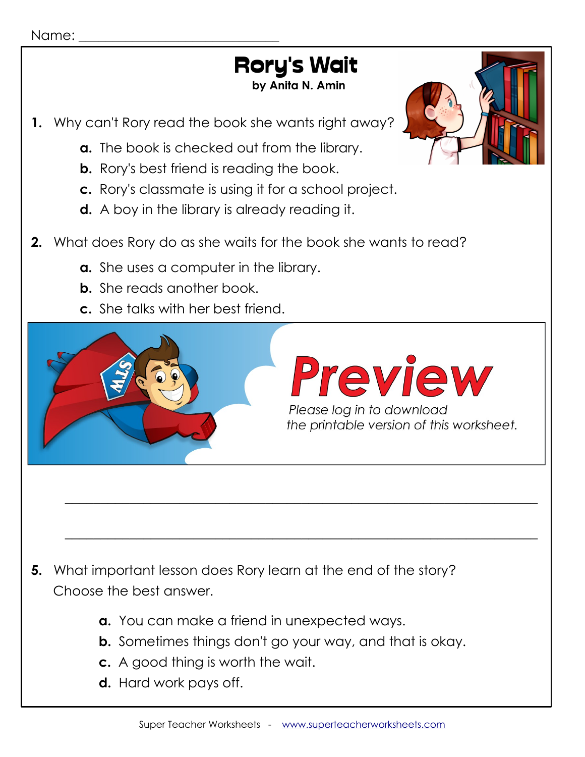#### Name:

## Rory's Wait

 **by Anita N. Amin**

- **1.** Why can't Rory read the book she wants right away?
	- **a.** The book is checked out from the library.
	- **b.** Rory's best friend is reading the book.
	- **c.** Rory's classmate is using it for a school project.
	- **d.** A boy in the library is already reading it.
- **2.** What does Rory do as she waits for the book she wants to read?
	- **a.** She uses a computer in the library.
	- **b.** She reads another book.
	- **c.** She talks with her best friend.



 $\_$  , and the set of the set of the set of the set of the set of the set of the set of the set of the set of the set of the set of the set of the set of the set of the set of the set of the set of the set of the set of th

 $\_$  , and the set of the set of the set of the set of the set of the set of the set of the set of the set of the set of the set of the set of the set of the set of the set of the set of the set of the set of the set of th

- **5.** What important lesson does Rory learn at the end of the story? Choose the best answer.
	- **a.** You can make a friend in unexpected ways.
	- **b.** Sometimes things don't go your way, and that is okay.
	- **c.** A good thing is worth the wait.
	- **d.** Hard work pays off.

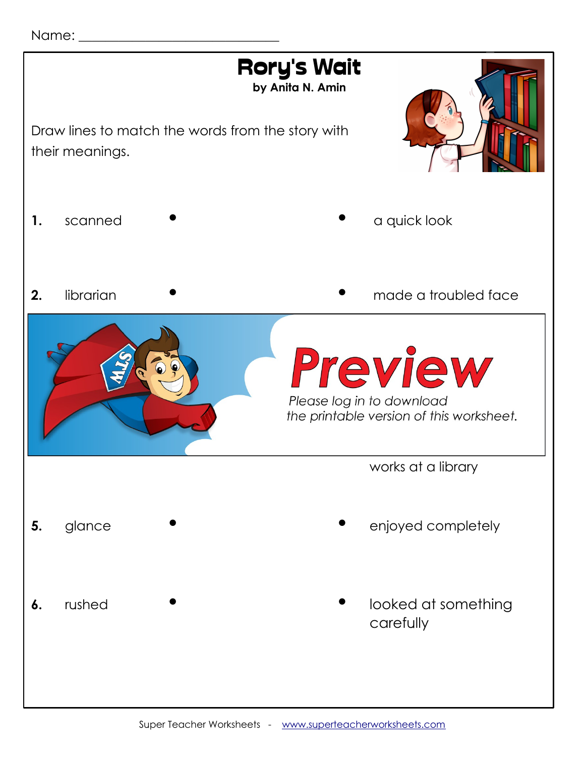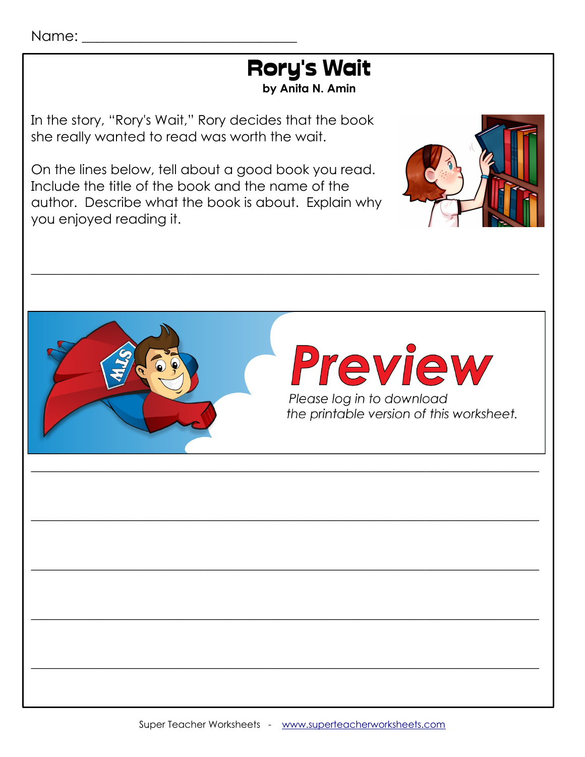

In the story, "Rory's Wait," Rory decides that the book she really wanted to read was worth the wait.

On the lines below, tell about a good book you read. Include the title of the book and the name of the author. Describe what the book is about. Explain why you enjoyed reading it.



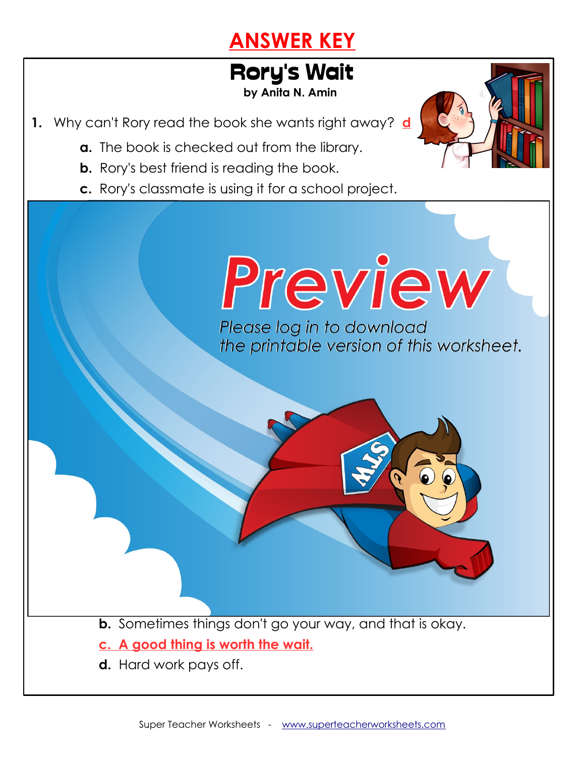## **ANSWER KEY**

# Rory's Wait

 **by Anita N. Amin**

Please log in to download<br>the printable version of this worksheet.

- **1.** Why can't Rory read the book she wants right away? **d**
	- **a.** The book is checked out from the library.
	- **b.** Rory's best friend is reading the book.

 **a. She uses a computer in the library.** 

**c.** She talks with her best friend.

**b. She reads another book.**

Î

she ask him?

**c.** Rory's classmate is using it for a school project.

**2.** What does Rory do as she waits for the book she wants to read? **b**

**3.** How does Rory know if the book she wants to read is in the library?

**She asks the librarian, who checks on the computer.**

**5.** What important lesson does Rory learn at the end of the story?

**a.** You can make a friend in unexpected ways.

**b.** Sometimes things don't go your way, and that is okay.

**4.** What question does Rory want to ask the boy in the library, and why doesn't

**Rory wants to ask the boy when he will be done reading the book,**

- **c. A good thing is worth the wait.**
- **d.** Hard work pays off.

**but she doesn't want to be rude.**

Choose the best answer. **c**